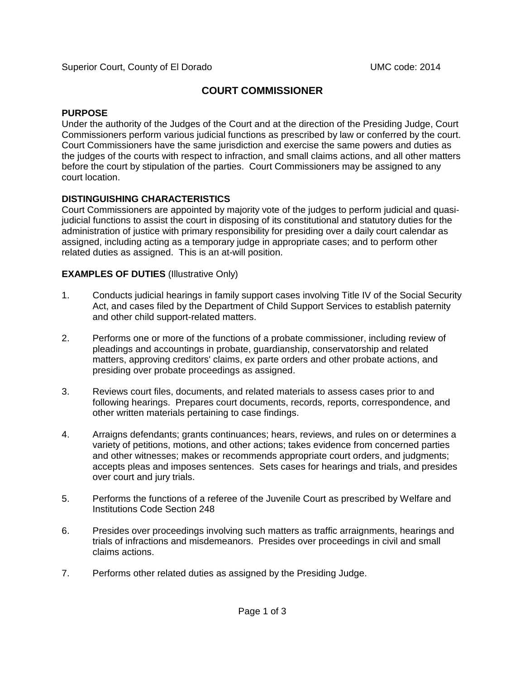# **COURT COMMISSIONER**

# **PURPOSE**

Under the authority of the Judges of the Court and at the direction of the Presiding Judge, Court Commissioners perform various judicial functions as prescribed by law or conferred by the court. Court Commissioners have the same jurisdiction and exercise the same powers and duties as the judges of the courts with respect to infraction, and small claims actions, and all other matters before the court by stipulation of the parties. Court Commissioners may be assigned to any court location.

# **DISTINGUISHING CHARACTERISTICS**

Court Commissioners are appointed by majority vote of the judges to perform judicial and quasijudicial functions to assist the court in disposing of its constitutional and statutory duties for the administration of justice with primary responsibility for presiding over a daily court calendar as assigned, including acting as a temporary judge in appropriate cases; and to perform other related duties as assigned. This is an at-will position.

# **EXAMPLES OF DUTIES** (Illustrative Only)

- 1. Conducts judicial hearings in family support cases involving Title IV of the Social Security Act, and cases filed by the Department of Child Support Services to establish paternity and other child support-related matters.
- 2. Performs one or more of the functions of a probate commissioner, including review of pleadings and accountings in probate, guardianship, conservatorship and related matters, approving creditors' claims, ex parte orders and other probate actions, and presiding over probate proceedings as assigned.
- 3. Reviews court files, documents, and related materials to assess cases prior to and following hearings. Prepares court documents, records, reports, correspondence, and other written materials pertaining to case findings.
- 4. Arraigns defendants; grants continuances; hears, reviews, and rules on or determines a variety of petitions, motions, and other actions; takes evidence from concerned parties and other witnesses; makes or recommends appropriate court orders, and judgments; accepts pleas and imposes sentences. Sets cases for hearings and trials, and presides over court and jury trials.
- 5. Performs the functions of a referee of the Juvenile Court as prescribed by Welfare and Institutions Code Section 248
- 6. Presides over proceedings involving such matters as traffic arraignments, hearings and trials of infractions and misdemeanors. Presides over proceedings in civil and small claims actions.
- 7. Performs other related duties as assigned by the Presiding Judge.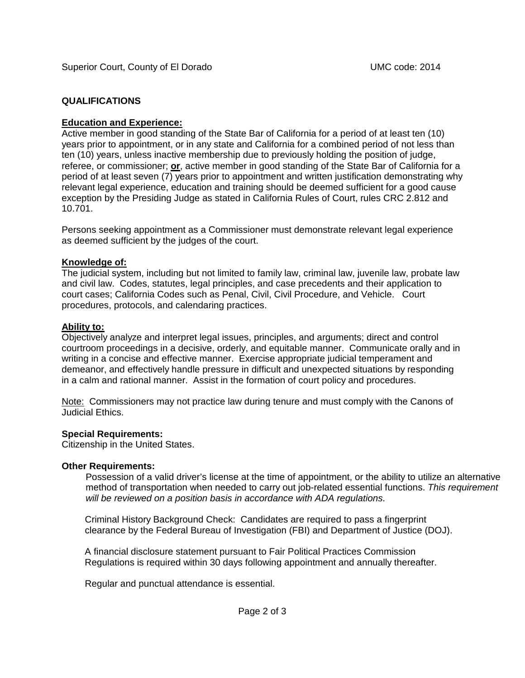# **QUALIFICATIONS**

## **Education and Experience:**

Active member in good standing of the State Bar of California for a period of at least ten (10) years prior to appointment, or in any state and California for a combined period of not less than ten (10) years, unless inactive membership due to previously holding the position of judge, referee, or commissioner; **or**, active member in good standing of the State Bar of California for a period of at least seven (7) years prior to appointment and written justification demonstrating why relevant legal experience, education and training should be deemed sufficient for a good cause exception by the Presiding Judge as stated in California Rules of Court, rules CRC 2.812 and 10.701.

Persons seeking appointment as a Commissioner must demonstrate relevant legal experience as deemed sufficient by the judges of the court.

## **Knowledge of:**

The judicial system, including but not limited to family law, criminal law, juvenile law, probate law and civil law. Codes, statutes, legal principles, and case precedents and their application to court cases; California Codes such as Penal, Civil, Civil Procedure, and Vehicle. Court procedures, protocols, and calendaring practices.

#### **Ability to:**

Objectively analyze and interpret legal issues, principles, and arguments; direct and control courtroom proceedings in a decisive, orderly, and equitable manner. Communicate orally and in writing in a concise and effective manner. Exercise appropriate judicial temperament and demeanor, and effectively handle pressure in difficult and unexpected situations by responding in a calm and rational manner. Assist in the formation of court policy and procedures.

Note: Commissioners may not practice law during tenure and must comply with the Canons of Judicial Ethics.

## **Special Requirements:**

Citizenship in the United States.

## **Other Requirements:**

Possession of a valid driver's license at the time of appointment, or the ability to utilize an alternative method of transportation when needed to carry out job-related essential functions. *This requirement will be reviewed on a position basis in accordance with ADA regulations.*

Criminal History Background Check: Candidates are required to pass a fingerprint clearance by the Federal Bureau of Investigation (FBI) and Department of Justice (DOJ).

A financial disclosure statement pursuant to Fair Political Practices Commission Regulations is required within 30 days following appointment and annually thereafter.

Regular and punctual attendance is essential.